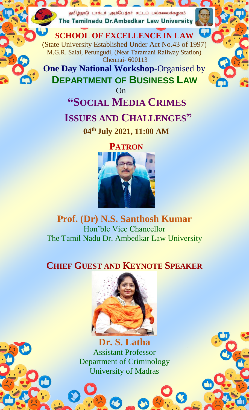தமிழ்நாடு டாக்டர் அம்பேத்கர் சட்டப் பல்கலைக்கழகம் The Tamilnadu Dr.Ambedkar Law University

**SCHOOL OF EXCELLENCE IN LAW** (State University Established Under Act No.43 of 1997) M.G.R. Salai, Perungudi, (Near Taramani Railway Station) Chennai- 600113

**One Day National Workshop-**Organised by **DEPARTMENT OF BUSINESS LAW**

On

## **"SOCIAL MEDIA CRIMES ISSUES AND CHALLENGES"**

**04th July 2021, 11:00 AM**



## **Prof. (Dr) N.S. Santhosh Kumar** Hon'ble Vice Chancellor The Tamil Nadu Dr. Ambedkar Law University

## **CHIEF GUEST AND KEYNOTE SPEAKER**



**Dr. S. Latha** Assistant Professor Department of Criminology University of Madras